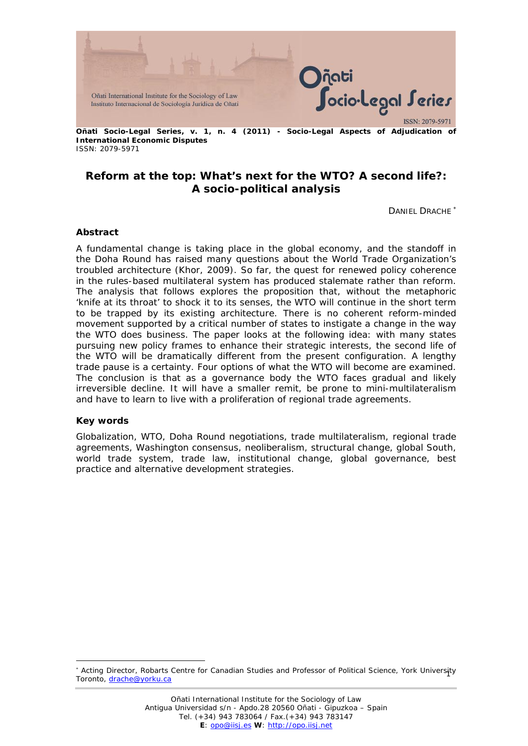

**Reform at the top: What's next for the WTO? A second life?: A socio-political analysis**

DANIEL DRACHE <sup>∗</sup>

#### **Abstract**

A fundamental change is taking place in the global economy, and the standoff in the Doha Round has raised many questions about the World Trade Organization's troubled architecture (Khor, 2009). So far, the quest for renewed policy coherence in the rules-based multilateral system has produced stalemate rather than reform. The analysis that follows explores the proposition that, without the metaphoric 'knife at its throat' to shock it to its senses, the WTO will continue in the short term to be trapped by its existing architecture. There is no coherent reform-minded movement supported by a critical number of states to instigate a change in the way the WTO does business. The paper looks at the following idea: with many states pursuing new policy frames to enhance their strategic interests, the second life of the WTO will be dramatically different from the present configuration. A lengthy trade pause is a certainty. Four options of what the WTO will become are examined. The conclusion is that as a governance body the WTO faces gradual and likely irreversible decline. It will have a smaller remit, be prone to mini-multilateralism and have to learn to live with a proliferation of regional trade agreements.

#### **Key words**

1

Globalization, WTO, Doha Round negotiations, trade multilateralism, regional trade agreements, Washington consensus, neoliberalism, structural change, global South, world trade system, trade law, institutional change, global governance, best practice and alternative development strategies.

<sup>1</sup> <sup>∗</sup> Acting Director, Robarts Centre for Canadian Studies and Professor of Political Science, York University Toronto, drache@yorku.ca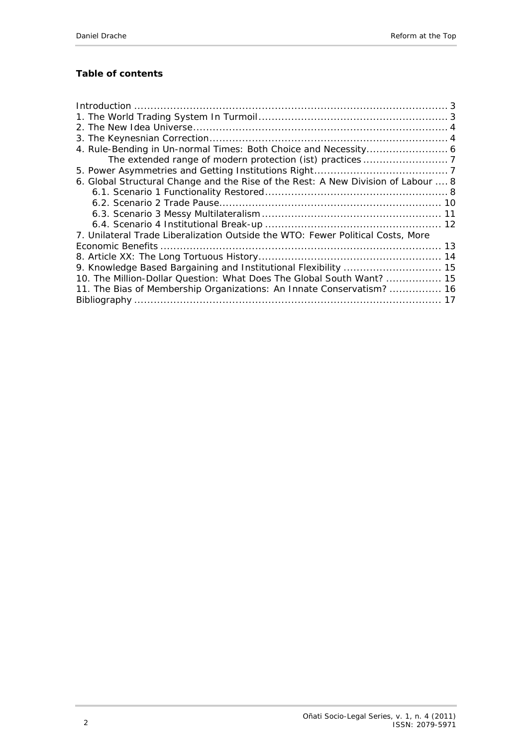# **Table of contents**

| 6. Global Structural Change and the Rise of the Rest: A New Division of Labour  8 |  |
|-----------------------------------------------------------------------------------|--|
|                                                                                   |  |
|                                                                                   |  |
|                                                                                   |  |
|                                                                                   |  |
| 7. Unilateral Trade Liberalization Outside the WTO: Fewer Political Costs, More   |  |
|                                                                                   |  |
|                                                                                   |  |
|                                                                                   |  |
| 10. The Million-Dollar Question: What Does The Global South Want?  15             |  |
| 11. The Bias of Membership Organizations: An Innate Conservatism?  16             |  |
|                                                                                   |  |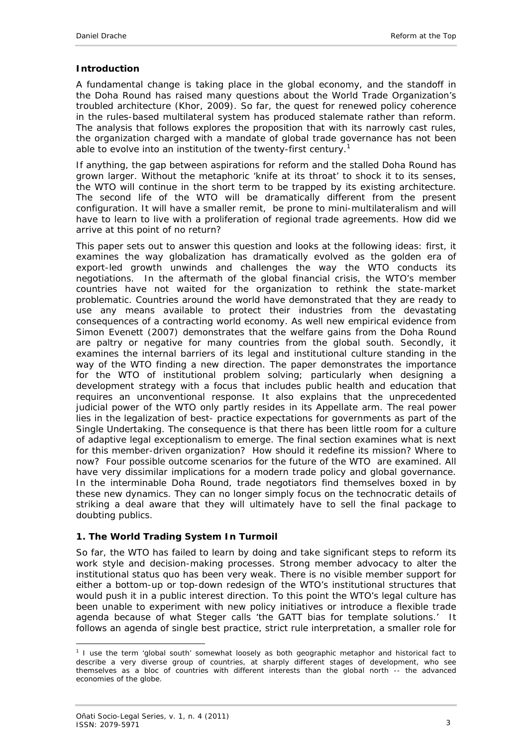#### <span id="page-2-0"></span>**Introduction**

A fundamental change is taking place in the global economy, and the standoff in the Doha Round has raised many questions about the World Trade Organization's troubled architecture (Khor, 2009). So far, the quest for renewed policy coherence in the rules-based multilateral system has produced stalemate rather than reform. The analysis that follows explores the proposition that with its narrowly cast rules, the organization charged with a mandate of global trade governance has not been able to evolve into an institution of the twenty-first century.<sup>1</sup>

If anything, the gap between aspirations for reform and the stalled Doha Round has grown larger. Without the metaphoric 'knife at its throat' to shock it to its senses, the WTO will continue in the short term to be trapped by its existing architecture. The second life of the WTO will be dramatically different from the present configuration. It will have a smaller remit, be prone to mini-multilateralism and will have to learn to live with a proliferation of regional trade agreements. How did we arrive at this point of no return?

This paper sets out to answer this question and looks at the following ideas: first, it examines the way globalization has dramatically evolved as the golden era of export-led growth unwinds and challenges the way the WTO conducts its negotiations. In the aftermath of the global financial crisis, the WTO's member countries have not waited for the organization to rethink the state-market problematic. Countries around the world have demonstrated that they are ready to use any means available to protect their industries from the devastating consequences of a contracting world economy. As well new empirical evidence from Simon Evenett (2007) demonstrates that the welfare gains from the Doha Round are paltry or negative for many countries from the global south. Secondly, it examines the internal barriers of its legal and institutional culture standing in the way of the WTO finding a new direction. The paper demonstrates the importance for the WTO of institutional problem solving; particularly when designing a development strategy with a focus that includes public health and education that requires an unconventional response. It also explains that the unprecedented judicial power of the WTO only partly resides in its Appellate arm. The real power lies in the legalization of best- practice expectations for governments as part of the Single Undertaking. The consequence is that there has been little room for a culture of adaptive legal exceptionalism to emerge. The final section examines what is next for this member-driven organization? How should it redefine its mission? Where to now? Four possible outcome scenarios for the future of the WTO are examined. All have very dissimilar implications for a modern trade policy and global governance. In the interminable Doha Round, trade negotiators find themselves boxed in by these new dynamics. They can no longer simply focus on the technocratic details of striking a deal aware that they will ultimately have to sell the final package to doubting publics.

#### <span id="page-2-1"></span>**1. The World Trading System In Turmoil**

So far, the WTO has failed to learn by doing and take significant steps to reform its work style and decision-making processes. Strong member advocacy to alter the institutional status quo has been very weak. There is no visible member support for either a bottom-up or top-down redesign of the WTO's institutional structures that would push it in a public interest direction. To this point the WTO's legal culture has been unable to experiment with new policy initiatives or introduce a flexible trade agenda because of what Steger calls 'the GATT bias for template solutions.' It follows an agenda of single best practice, strict rule interpretation, a smaller role for

<sup>-</sup><sup>1</sup> I use the term 'global south' somewhat loosely as both geographic metaphor and historical fact to describe a very diverse group of countries, at sharply different stages of development, who see themselves as a bloc of countries with different interests than the global north -- the advanced economies of the globe.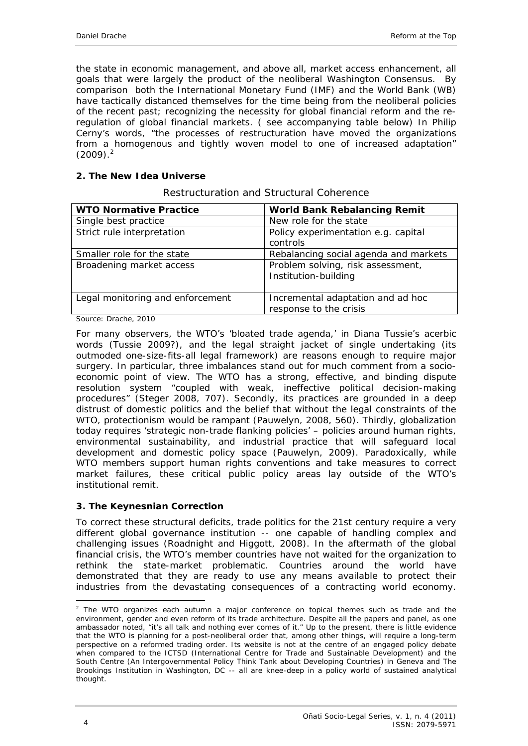the state in economic management, and above all, market access enhancement, all goals that were largely the product of the neoliberal Washington Consensus. By comparison both the International Monetary Fund (IMF) and the World Bank (WB) have tactically distanced themselves for the time being from the neoliberal policies of the recent past; recognizing the necessity for global financial reform and the reregulation of global financial markets. ( see accompanying table below) In Philip Cerny's words, "the processes of restructuration have moved the organizations from a homogenous and tightly woven model to one of increased adaptation"  $(2009).<sup>2</sup>$ 

#### <span id="page-3-0"></span>**2. The New Idea Universe**

| <b>WTO Normative Practice</b>    | <b>World Bank Rebalancing Remit</b>                         |
|----------------------------------|-------------------------------------------------------------|
| Single best practice             | New role for the state                                      |
| Strict rule interpretation       | Policy experimentation e.g. capital<br>controls             |
| Smaller role for the state       | Rebalancing social agenda and markets                       |
| Broadening market access         | Problem solving, risk assessment,<br>Institution-building   |
| Legal monitoring and enforcement | Incremental adaptation and ad hoc<br>response to the crisis |

Restructuration and Structural Coherence

Source: Drache, 2010

For many observers, the WTO's 'bloated trade agenda,' in Diana Tussie's acerbic words (Tussie 2009?), and the legal straight jacket of single undertaking (its outmoded one-size-fits-all legal framework) are reasons enough to require major surgery. In particular, three imbalances stand out for much comment from a socioeconomic point of view. The WTO has a strong, effective, and binding dispute resolution system "coupled with weak, ineffective political decision-making procedures" (Steger 2008, 707). Secondly, its practices are grounded in a deep distrust of domestic politics and the belief that without the legal constraints of the WTO, protectionism would be rampant (Pauwelyn, 2008, 560). Thirdly, globalization today requires 'strategic non-trade flanking policies' – policies around human rights, environmental sustainability, and industrial practice that will safeguard local development and domestic policy space (Pauwelyn, 2009). Paradoxically, while WTO members support human rights conventions and take measures to correct market failures, these critical public policy areas lay outside of the WTO's institutional remit.

#### <span id="page-3-1"></span>**3. The Keynesnian Correction**

To correct these structural deficits, trade politics for the 21st century require a very different global governance institution -- one capable of handling complex and challenging issues (Roadnight and Higgott, 2008). In the aftermath of the global financial crisis, the WTO's member countries have not waited for the organization to rethink the state-market problematic. Countries around the world have demonstrated that they are ready to use any means available to protect their industries from the devastating consequences of a contracting world economy.

<sup>-</sup> $2$  The WTO organizes each autumn a major conference on topical themes such as trade and the environment, gender and even reform of its trade architecture. Despite all the papers and panel, as one ambassador noted, "it's all talk and nothing ever comes of it." Up to the present, there is little evidence that the WTO is planning for a post-neoliberal order that, among other things, will require a long-term perspective on a reformed trading order. Its website is not at the centre of an engaged policy debate when compared to the ICTSD (International Centre for Trade and Sustainable Development) and the South Centre (An Intergovernmental Policy Think Tank about Developing Countries) in Geneva and The Brookings Institution in Washington, DC -- all are knee-deep in a policy world of sustained analytical thought.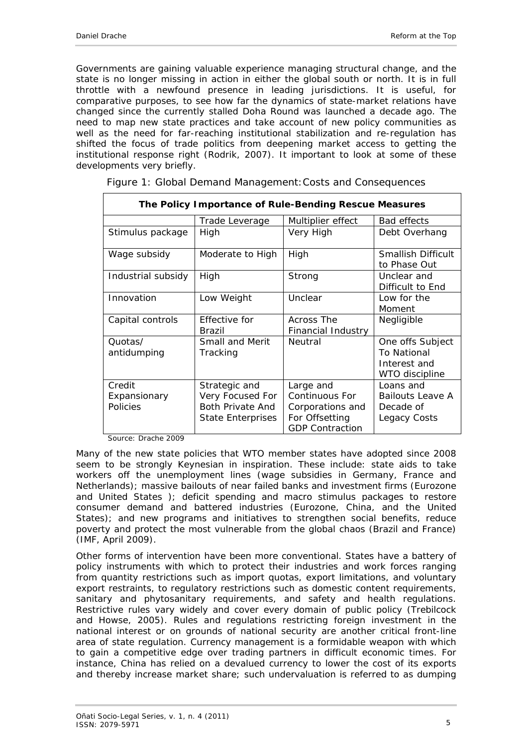Governments are gaining valuable experience managing structural change, and the state is no longer missing in action in either the global south or north. It is in full throttle with a newfound presence in leading jurisdictions. It is useful, for comparative purposes, to see how far the dynamics of state-market relations have changed since the currently stalled Doha Round was launched a decade ago. The need to map new state practices and take account of new policy communities as well as the need for far-reaching institutional stabilization and re-regulation has shifted the focus of trade politics from deepening market access to getting the institutional response right (Rodrik, 2007). It important to look at some of these developments very briefly.

| The Policy Importance of Rule-Bending Rescue Measures |                                                                                   |                                                                                             |                                                                   |  |
|-------------------------------------------------------|-----------------------------------------------------------------------------------|---------------------------------------------------------------------------------------------|-------------------------------------------------------------------|--|
|                                                       | Trade Leverage                                                                    | Multiplier effect                                                                           | <b>Bad effects</b>                                                |  |
| Stimulus package                                      | High                                                                              | Very High                                                                                   | Debt Overhang                                                     |  |
| Wage subsidy                                          | Moderate to High                                                                  | High                                                                                        | <b>Smallish Difficult</b><br>to Phase Out                         |  |
| Industrial subsidy                                    | High                                                                              | Strong                                                                                      | Unclear and<br>Difficult to End                                   |  |
| Innovation                                            | Low Weight                                                                        | Unclear                                                                                     | Low for the<br>Moment                                             |  |
| Capital controls                                      | Effective for<br>Brazil                                                           | Across The<br>Financial Industry                                                            | Negligible                                                        |  |
| Quotas/<br>antidumping                                | <b>Small and Merit</b><br>Tracking                                                | Neutral                                                                                     | One offs Subject<br>To National<br>Interest and<br>WTO discipline |  |
| Credit<br>Expansionary<br>Policies                    | Strategic and<br>Very Focused For<br>Both Private And<br><b>State Enterprises</b> | Large and<br>Continuous For<br>Corporations and<br>For Offsetting<br><b>GDP Contraction</b> | Loans and<br>Bailouts Leave A<br>Decade of<br>Legacy Costs        |  |

|  |  |  | Figure 1: Global Demand Management: Costs and Consequences |
|--|--|--|------------------------------------------------------------|
|  |  |  |                                                            |
|  |  |  |                                                            |

Source: Drache 2009

Many of the new state policies that WTO member states have adopted since 2008 seem to be strongly Keynesian in inspiration. These include: state aids to take workers off the unemployment lines (wage subsidies in Germany, France and Netherlands); massive bailouts of near failed banks and investment firms (Eurozone and United States ); deficit spending and macro stimulus packages to restore consumer demand and battered industries (Eurozone, China, and the United States); and new programs and initiatives to strengthen social benefits, reduce poverty and protect the most vulnerable from the global chaos (Brazil and France) (IMF, April 2009).

Other forms of intervention have been more conventional. States have a battery of policy instruments with which to protect their industries and work forces ranging from quantity restrictions such as import quotas, export limitations, and voluntary export restraints, to regulatory restrictions such as domestic content requirements, sanitary and phytosanitary requirements, and safety and health regulations. Restrictive rules vary widely and cover every domain of public policy (Trebilcock and Howse, 2005). Rules and regulations restricting foreign investment in the national interest or on grounds of national security are another critical front-line area of state regulation. Currency management is a formidable weapon with which to gain a competitive edge over trading partners in difficult economic times. For instance, China has relied on a devalued currency to lower the cost of its exports and thereby increase market share; such undervaluation is referred to as dumping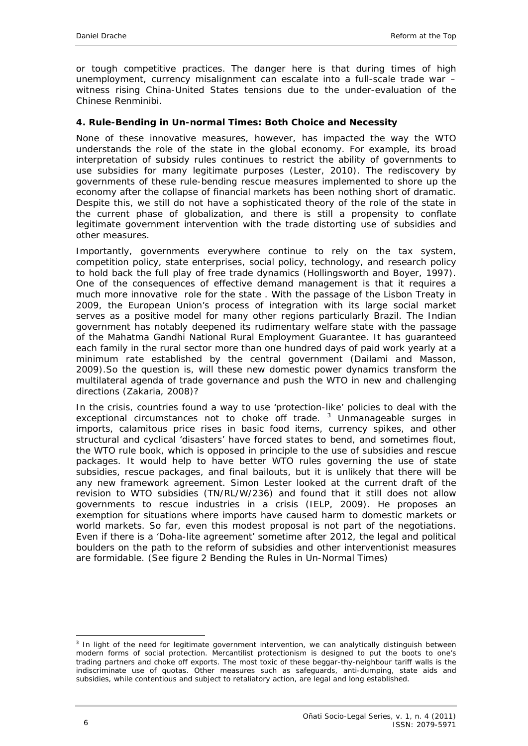or tough competitive practices. The danger here is that during times of high unemployment, currency misalignment can escalate into a full-scale trade war – witness rising China-United States tensions due to the under-evaluation of the Chinese Renminibi.

#### <span id="page-5-0"></span>**4. Rule-Bending in Un-normal Times: Both Choice and Necessity**

None of these innovative measures, however, has impacted the way the WTO understands the role of the state in the global economy. For example, its broad interpretation of subsidy rules continues to restrict the ability of governments to use subsidies for many legitimate purposes (Lester, 2010). The rediscovery by governments of these rule-bending rescue measures implemented to shore up the economy after the collapse of financial markets has been nothing short of dramatic. Despite this, we still do not have a sophisticated theory of the role of the state in the current phase of globalization, and there is still a propensity to conflate legitimate government intervention with the trade distorting use of subsidies and other measures.

Importantly, governments everywhere continue to rely on the tax system, competition policy, state enterprises, social policy, technology, and research policy to hold back the full play of free trade dynamics (Hollingsworth and Boyer, 1997). One of the consequences of effective demand management is that it requires a much more innovative role for the state . With the passage of the Lisbon Treaty in 2009, the European Union's process of integration with its large social market serves as a positive model for many other regions particularly Brazil. The Indian government has notably deepened its rudimentary welfare state with the passage of the Mahatma Gandhi National Rural Employment Guarantee. It has guaranteed each family in the rural sector more than one hundred days of paid work yearly at a minimum rate established by the central government (Dailami and Masson, 2009).So the question is, will these new domestic power dynamics transform the multilateral agenda of trade governance and push the WTO in new and challenging directions (Zakaria, 2008)?

In the crisis, countries found a way to use 'protection-like' policies to deal with the exceptional circumstances not to choke off trade.<sup>3</sup> Unmanageable surges in imports, calamitous price rises in basic food items, currency spikes, and other structural and cyclical 'disasters' have forced states to bend, and sometimes flout, the WTO rule book, which is opposed in principle to the use of subsidies and rescue packages. It would help to have better WTO rules governing the use of state subsidies, rescue packages, and final bailouts, but it is unlikely that there will be any new framework agreement. Simon Lester looked at the current draft of the revision to WTO subsidies (TN/RL/W/236) and found that it still does not allow governments to rescue industries in a crisis (IELP, 2009). He proposes an exemption for situations where imports have caused harm to domestic markets or world markets. So far, even this modest proposal is not part of the negotiations. Even if there is a 'Doha-lite agreement' sometime after 2012, the legal and political boulders on the path to the reform of subsidies and other interventionist measures are formidable. (See figure 2 Bending the Rules in Un-Normal Times)

<sup>-</sup><sup>3</sup> In light of the need for legitimate government intervention, we can analytically distinguish between modern forms of social protection. Mercantilist protectionism is designed to put the boots to one's trading partners and choke off exports. The most toxic of these beggar-thy-neighbour tariff walls is the indiscriminate use of quotas. Other measures such as safeguards, anti-dumping, state aids and subsidies, while contentious and subject to retaliatory action, are legal and long established.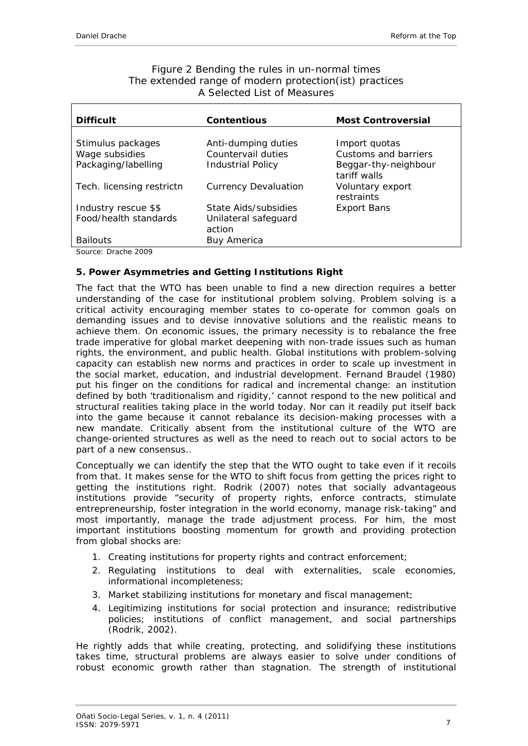| Figure 2 Bending the rules in un-normal times          |
|--------------------------------------------------------|
| The extended range of modern protection(ist) practices |
| A Selected List of Measures                            |

<span id="page-6-0"></span>

| <b>Difficult</b>          | <b>Contentious</b>             | <b>Most Controversial</b>            |
|---------------------------|--------------------------------|--------------------------------------|
|                           |                                |                                      |
| Stimulus packages         | Anti-dumping duties            | Import quotas                        |
| Wage subsidies            | Countervail duties             | Customs and barriers                 |
| Packaging/labelling       | <b>Industrial Policy</b>       | Beggar-thy-neighbour<br>tariff walls |
| Tech. licensing restrictn | <b>Currency Devaluation</b>    | Voluntary export<br>restraints       |
| Industry rescue \$\$      | State Aids/subsidies           | <b>Export Bans</b>                   |
| Food/health standards     | Unilateral safeguard<br>action |                                      |
| <b>Bailouts</b>           | <b>Buy America</b>             |                                      |
| Source: Drache 2009       |                                |                                      |

### <span id="page-6-1"></span>**5. Power Asymmetries and Getting Institutions Right**

The fact that the WTO has been unable to find a new direction requires a better understanding of the case for institutional problem solving. Problem solving is a critical activity encouraging member states to co-operate for common goals on demanding issues and to devise innovative solutions and the realistic means to achieve them. On economic issues, the primary necessity is to rebalance the free trade imperative for global market deepening with non-trade issues such as human rights, the environment, and public health. Global institutions with problem-solving capacity can establish new norms and practices in order to scale up investment in the social market, education, and industrial development. Fernand Braudel (1980) put his finger on the conditions for radical and incremental change: an institution defined by both 'traditionalism and rigidity,' cannot respond to the new political and structural realities taking place in the world today. Nor can it readily put itself back into the game because it cannot rebalance its decision-making processes with a new mandate. Critically absent from the institutional culture of the WTO are change-oriented structures as well as the need to reach out to social actors to be part of a new consensus..

Conceptually we can identify the step that the WTO ought to take even if it recoils from that. It makes sense for the WTO to shift focus from getting the prices right to getting the institutions right. Rodrik (2007) notes that socially advantageous institutions provide "security of property rights, enforce contracts, stimulate entrepreneurship, foster integration in the world economy, manage risk-taking" and most importantly, manage the trade adjustment process. For him, the most important institutions boosting momentum for growth and providing protection from global shocks are:

- 1. Creating institutions for property rights and contract enforcement;
- 2. Regulating institutions to deal with externalities, scale economies, informational incompleteness;
- 3. Market stabilizing institutions for monetary and fiscal management;
- 4. Legitimizing institutions for social protection and insurance; redistributive policies; institutions of conflict management, and social partnerships (Rodrik, 2002).

He rightly adds that while creating, protecting, and solidifying these institutions takes time, structural problems are always easier to solve under conditions of robust economic growth rather than stagnation. The strength of institutional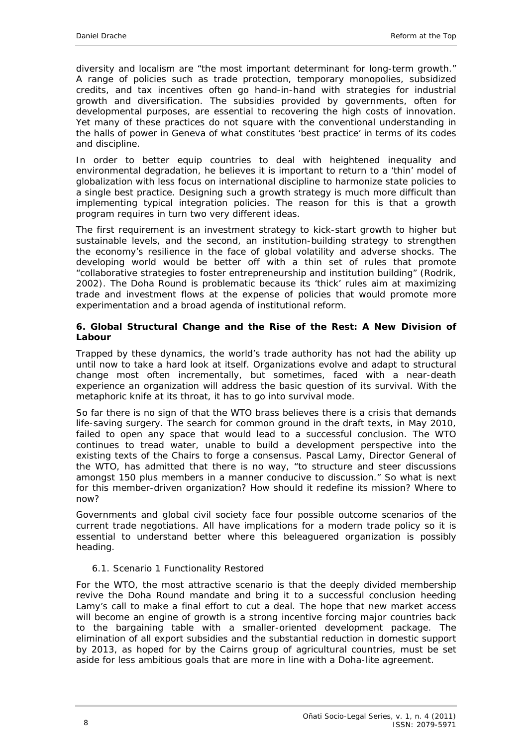diversity and localism are "the most important determinant for long-term growth." A range of policies such as trade protection, temporary monopolies, subsidized credits, and tax incentives often go hand-in-hand with strategies for industrial growth and diversification. The subsidies provided by governments, often for developmental purposes, are essential to recovering the high costs of innovation. Yet many of these practices do not square with the conventional understanding in the halls of power in Geneva of what constitutes 'best practice' in terms of its codes and discipline.

In order to better equip countries to deal with heightened inequality and environmental degradation, he believes it is important to return to a 'thin' model of globalization with less focus on international discipline to harmonize state policies to a single best practice. Designing such a growth strategy is much more difficult than implementing typical integration policies. The reason for this is that a growth program requires in turn two very different ideas.

The first requirement is an investment strategy to kick-start growth to higher but sustainable levels, and the second, an institution-building strategy to strengthen the economy's resilience in the face of global volatility and adverse shocks. The developing world would be better off with a thin set of rules that promote "collaborative strategies to foster entrepreneurship and institution building" (Rodrik, 2002). The Doha Round is problematic because its 'thick' rules aim at maximizing trade and investment flows at the expense of policies that would promote more experimentation and a broad agenda of institutional reform.

#### <span id="page-7-0"></span>**6. Global Structural Change and the Rise of the Rest: A New Division of Labour**

Trapped by these dynamics, the world's trade authority has not had the ability up until now to take a hard look at itself. Organizations evolve and adapt to structural change most often incrementally, but sometimes, faced with a near-death experience an organization will address the basic question of its survival. With the metaphoric knife at its throat, it has to go into survival mode.

So far there is no sign of that the WTO brass believes there is a crisis that demands life-saving surgery. The search for common ground in the draft texts, in May 2010, failed to open any space that would lead to a successful conclusion. The WTO continues to tread water, unable to build a development perspective into the existing texts of the Chairs to forge a consensus. Pascal Lamy, Director General of the WTO, has admitted that there is no way, "to structure and steer discussions amongst 150 plus members in a manner conducive to discussion." So what is next for this member-driven organization? How should it redefine its mission? Where to now?

Governments and global civil society face four possible outcome scenarios of the current trade negotiations. All have implications for a modern trade policy so it is essential to understand better where this beleaguered organization is possibly heading.

### <span id="page-7-1"></span>*6.1. Scenario 1 Functionality Restored*

For the WTO, the most attractive scenario is that the deeply divided membership revive the Doha Round mandate and bring it to a successful conclusion heeding Lamy's call to make a final effort to cut a deal. The hope that new market access will become an engine of growth is a strong incentive forcing major countries back to the bargaining table with a smaller-oriented development package. The elimination of all export subsidies and the substantial reduction in domestic support by 2013, as hoped for by the Cairns group of agricultural countries, must be set aside for less ambitious goals that are more in line with a Doha-lite agreement.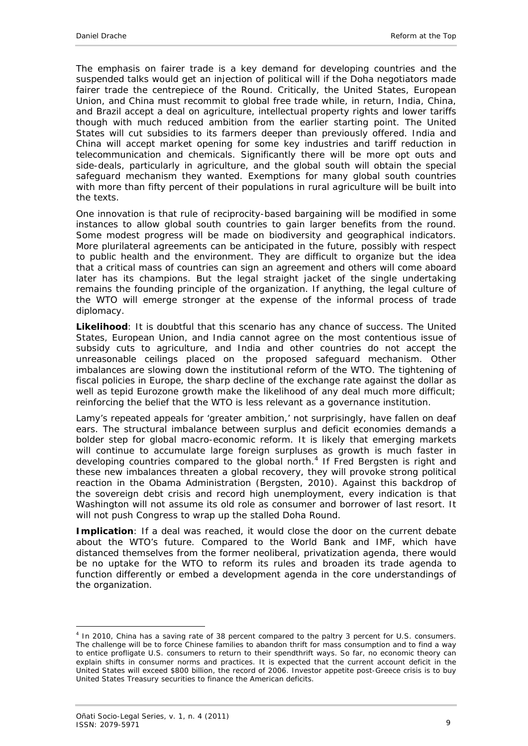The emphasis on fairer trade is a key demand for developing countries and the suspended talks would get an injection of political will if the Doha negotiators made fairer trade the centrepiece of the Round. Critically, the United States, European Union, and China must recommit to global free trade while, in return, India, China, and Brazil accept a deal on agriculture, intellectual property rights and lower tariffs though with much reduced ambition from the earlier starting point. The United States will cut subsidies to its farmers deeper than previously offered. India and China will accept market opening for some key industries and tariff reduction in telecommunication and chemicals. Significantly there will be more opt outs and side-deals, particularly in agriculture, and the global south will obtain the special safeguard mechanism they wanted. Exemptions for many global south countries with more than fifty percent of their populations in rural agriculture will be built into the texts.

One innovation is that rule of reciprocity-based bargaining will be modified in some instances to allow global south countries to gain larger benefits from the round. Some modest progress will be made on biodiversity and geographical indicators. More plurilateral agreements can be anticipated in the future, possibly with respect to public health and the environment. They are difficult to organize but the idea that a critical mass of countries can sign an agreement and others will come aboard later has its champions. But the legal straight jacket of the single undertaking remains the founding principle of the organization. If anything, the legal culture of the WTO will emerge stronger at the expense of the informal process of trade diplomacy.

**Likelihood**: It is doubtful that this scenario has any chance of success. The United States, European Union, and India cannot agree on the most contentious issue of subsidy cuts to agriculture, and India and other countries do not accept the unreasonable ceilings placed on the proposed safeguard mechanism. Other imbalances are slowing down the institutional reform of the WTO. The tightening of fiscal policies in Europe, the sharp decline of the exchange rate against the dollar as well as tepid Eurozone growth make the likelihood of any deal much more difficult; reinforcing the belief that the WTO is less relevant as a governance institution.

Lamy's repeated appeals for 'greater ambition,' not surprisingly, have fallen on deaf ears. The structural imbalance between surplus and deficit economies demands a bolder step for global macro-economic reform. It is likely that emerging markets will continue to accumulate large foreign surpluses as growth is much faster in developing countries compared to the global north.<sup>4</sup> If Fred Bergsten is right and these new imbalances threaten a global recovery, they will provoke strong political reaction in the Obama Administration (Bergsten, 2010). Against this backdrop of the sovereign debt crisis and record high unemployment, every indication is that Washington will not assume its old role as consumer and borrower of last resort. It will not push Congress to wrap up the stalled Doha Round.

**Implication**: If a deal was reached, it would close the door on the current debate about the WTO's future. Compared to the World Bank and IMF, which have distanced themselves from the former neoliberal, privatization agenda, there would be no uptake for the WTO to reform its rules and broaden its trade agenda to function differently or embed a development agenda in the core understandings of the organization.

<sup>-</sup><sup>4</sup> In 2010, China has a saving rate of 38 percent compared to the paltry 3 percent for U.S. consumers. The challenge will be to force Chinese families to abandon thrift for mass consumption and to find a way to entice profligate U.S. consumers to return to their spendthrift ways. So far, no economic theory can explain shifts in consumer norms and practices. It is expected that the current account deficit in the United States will exceed \$800 billion, the record of 2006. Investor appetite post-Greece crisis is to buy United States Treasury securities to finance the American deficits.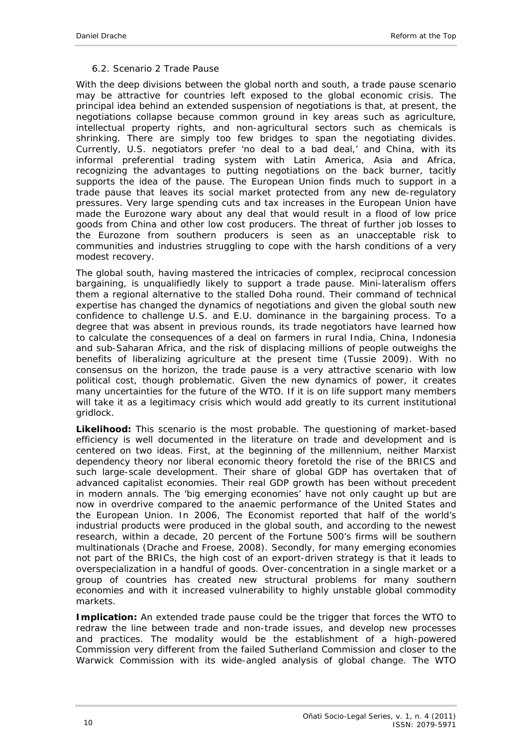### *6.2. Scenario 2 Trade Pause*

<span id="page-9-0"></span>With the deep divisions between the global north and south, a trade pause scenario may be attractive for countries left exposed to the global economic crisis. The principal idea behind an extended suspension of negotiations is that, at present, the negotiations collapse because common ground in key areas such as agriculture, intellectual property rights, and non-agricultural sectors such as chemicals is shrinking. There are simply too few bridges to span the negotiating divides. Currently, U.S. negotiators prefer 'no deal to a bad deal,' and China, with its informal preferential trading system with Latin America, Asia and Africa, recognizing the advantages to putting negotiations on the back burner, tacitly supports the idea of the pause. The European Union finds much to support in a trade pause that leaves its social market protected from any new de-regulatory pressures. Very large spending cuts and tax increases in the European Union have made the Eurozone wary about any deal that would result in a flood of low price goods from China and other low cost producers. The threat of further job losses to the Eurozone from southern producers is seen as an unacceptable risk to communities and industries struggling to cope with the harsh conditions of a very modest recovery.

The global south, having mastered the intricacies of complex, reciprocal concession bargaining, is unqualifiedly likely to support a trade pause. Mini-lateralism offers them a regional alternative to the stalled Doha round. Their command of technical expertise has changed the dynamics of negotiations and given the global south new confidence to challenge U.S. and E.U. dominance in the bargaining process. To a degree that was absent in previous rounds, its trade negotiators have learned how to calculate the consequences of a deal on farmers in rural India, China, Indonesia and sub-Saharan Africa, and the risk of displacing millions of people outweighs the benefits of liberalizing agriculture at the present time (Tussie 2009). With no consensus on the horizon, the trade pause is a very attractive scenario with low political cost, though problematic. Given the new dynamics of power, it creates many uncertainties for the future of the WTO. If it is on life support many members will take it as a legitimacy crisis which would add greatly to its current institutional gridlock.

**Likelihood:** This scenario is the most probable. The questioning of market-based efficiency is well documented in the literature on trade and development and is centered on two ideas. First, at the beginning of the millennium, neither Marxist dependency theory nor liberal economic theory foretold the rise of the BRICS and such large-scale development. Their share of global GDP has overtaken that of advanced capitalist economies. Their real GDP growth has been without precedent in modern annals. The 'big emerging economies' have not only caught up but are now in overdrive compared to the anaemic performance of the United States and the European Union. In 2006, *The Economist* reported that half of the world's industrial products were produced in the global south, and according to the newest research, within a decade, 20 percent of the Fortune 500's firms will be southern multinationals (Drache and Froese, 2008). Secondly, for many emerging economies not part of the BRICs, the high cost of an export-driven strategy is that it leads to overspecialization in a handful of goods. Over-concentration in a single market or a group of countries has created new structural problems for many southern economies and with it increased vulnerability to highly unstable global commodity markets.

**Implication:** An extended trade pause could be the trigger that forces the WTO to redraw the line between trade and non-trade issues, and develop new processes and practices. The modality would be the establishment of a high-powered Commission very different from the failed Sutherland Commission and closer to the Warwick Commission with its wide-angled analysis of global change. The WTO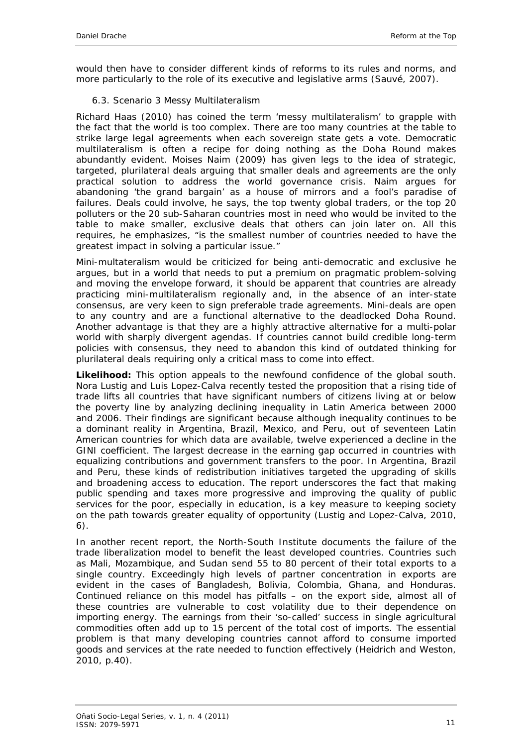would then have to consider different kinds of reforms to its rules and norms, and more particularly to the role of its executive and legislative arms (Sauvé, 2007).

### <span id="page-10-0"></span>*6.3. Scenario 3 Messy Multilateralism*

Richard Haas (2010) has coined the term 'messy multilateralism' to grapple with the fact that the world is too complex. There are too many countries at the table to strike large legal agreements when each sovereign state gets a vote. Democratic multilateralism is often a recipe for doing nothing as the Doha Round makes abundantly evident. Moises Naim (2009) has given legs to the idea of strategic, targeted, plurilateral deals arguing that smaller deals and agreements are the only practical solution to address the world governance crisis. Naim argues for abandoning 'the grand bargain' as a house of mirrors and a fool's paradise of failures. Deals could involve, he says, the top twenty global traders, or the top 20 polluters or the 20 sub-Saharan countries most in need who would be invited to the table to make smaller, exclusive deals that others can join later on. All this requires, he emphasizes, "is the smallest number of countries needed to have the greatest impact in solving a particular issue."

Mini-multateralism would be criticized for being anti-democratic and exclusive he argues, but in a world that needs to put a premium on pragmatic problem-solving and moving the envelope forward, it should be apparent that countries are already practicing mini-multilateralism regionally and, in the absence of an inter-state consensus, are very keen to sign preferable trade agreements. Mini-deals are open to any country and are a functional alternative to the deadlocked Doha Round. Another advantage is that they are a highly attractive alternative for a multi-polar world with sharply divergent agendas. If countries cannot build credible long-term policies with consensus, they need to abandon this kind of outdated thinking for plurilateral deals requiring only a critical mass to come into effect.

**Likelihood:** This option appeals to the newfound confidence of the global south. Nora Lustig and Luis Lopez-Calva recently tested the proposition that a rising tide of trade lifts all countries that have significant numbers of citizens living at or below the poverty line by analyzing declining inequality in Latin America between 2000 and 2006. Their findings are significant because although inequality continues to be a dominant reality in Argentina, Brazil, Mexico, and Peru, out of seventeen Latin American countries for which data are available, twelve experienced a decline in the GINI coefficient. The largest decrease in the earning gap occurred in countries with equalizing contributions and government transfers to the poor. In Argentina, Brazil and Peru, these kinds of redistribution initiatives targeted the upgrading of skills and broadening access to education. The report underscores the fact that making public spending and taxes more progressive and improving the quality of public services for the poor, especially in education, is a key measure to keeping society on the path towards greater equality of opportunity (Lustig and Lopez-Calva, 2010, 6).

In another recent report, the North-South Institute documents the failure of the trade liberalization model to benefit the least developed countries. Countries such as Mali, Mozambique, and Sudan send 55 to 80 percent of their total exports to a single country. Exceedingly high levels of partner concentration in exports are evident in the cases of Bangladesh, Bolivia, Colombia, Ghana, and Honduras. Continued reliance on this model has pitfalls – on the export side, almost all of these countries are vulnerable to cost volatility due to their dependence on importing energy. The earnings from their 'so-called' success in single agricultural commodities often add up to 15 percent of the total cost of imports. The essential problem is that many developing countries cannot afford to consume imported goods and services at the rate needed to function effectively (Heidrich and Weston, 2010, p.40).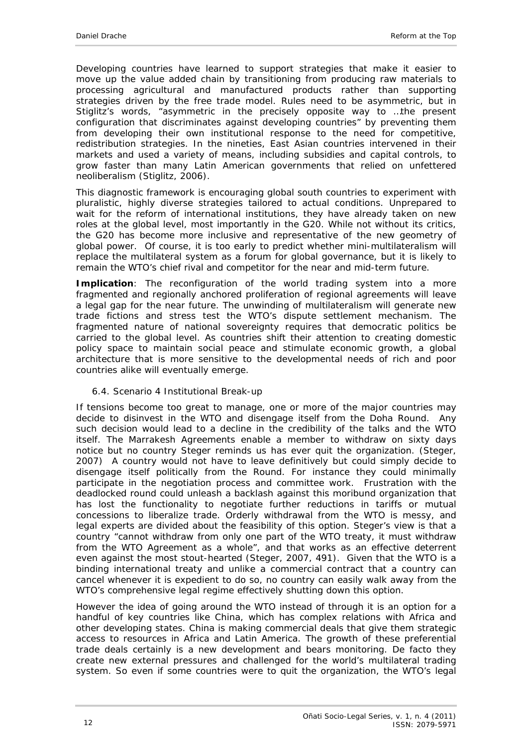Developing countries have learned to support strategies that make it easier to move up the value added chain by transitioning from producing raw materials to processing agricultural and manufactured products rather than supporting strategies driven by the free trade model. Rules need to be asymmetric, but in Stiglitz's words, "asymmetric in the precisely opposite way to …the present configuration that discriminates against developing countries" by preventing them from developing their own institutional response to the need for competitive, redistribution strategies. In the nineties, East Asian countries intervened in their markets and used a variety of means, including subsidies and capital controls, to grow faster than many Latin American governments that relied on unfettered neoliberalism (Stiglitz, 2006).

This diagnostic framework is encouraging global south countries to experiment with pluralistic, highly diverse strategies tailored to actual conditions. Unprepared to wait for the reform of international institutions, they have already taken on new roles at the global level, most importantly in the G20. While not without its critics, the G20 has become more inclusive and representative of the new geometry of global power. Of course, it is too early to predict whether mini-multilateralism will replace the multilateral system as a forum for global governance, but it is likely to remain the WTO's chief rival and competitor for the near and mid-term future.

**Implication**: The reconfiguration of the world trading system into a more fragmented and regionally anchored proliferation of regional agreements will leave a legal gap for the near future. The unwinding of multilateralism will generate new trade fictions and stress test the WTO's dispute settlement mechanism. The fragmented nature of national sovereignty requires that democratic politics be carried to the global level. As countries shift their attention to creating domestic policy space to maintain social peace and stimulate economic growth, a global architecture that is more sensitive to the developmental needs of rich and poor countries alike will eventually emerge.

### <span id="page-11-0"></span>*6.4. Scenario 4 Institutional Break-up*

If tensions become too great to manage, one or more of the major countries may decide to disinvest in the WTO and disengage itself from the Doha Round. Any such decision would lead to a decline in the credibility of the talks and the WTO itself. The Marrakesh Agreements enable a member to withdraw on sixty days notice but no country Steger reminds us has ever quit the organization. (Steger, 2007) A country would not have to leave definitively but could simply decide to disengage itself politically from the Round. For instance they could minimally participate in the negotiation process and committee work. Frustration with the deadlocked round could unleash a backlash against this moribund organization that has lost the functionality to negotiate further reductions in tariffs or mutual concessions to liberalize trade. Orderly withdrawal from the WTO is messy, and legal experts are divided about the feasibility of this option. Steger's view is that a country "cannot withdraw from only one part of the WTO treaty, it must withdraw from the WTO Agreement as a whole", and that works as an effective deterrent even against the most stout-hearted (Steger, 2007, 491). Given that the WTO is a binding international treaty and unlike a commercial contract that a country can cancel whenever it is expedient to do so, no country can easily walk away from the WTO's comprehensive legal regime effectively shutting down this option.

However the idea of going around the WTO instead of through it is an option for a handful of key countries like China, which has complex relations with Africa and other developing states. China is making commercial deals that give them strategic access to resources in Africa and Latin America. The growth of these preferential trade deals certainly is a new development and bears monitoring. De facto they create new external pressures and challenged for the world's multilateral trading system. So even if some countries were to quit the organization, the WTO's legal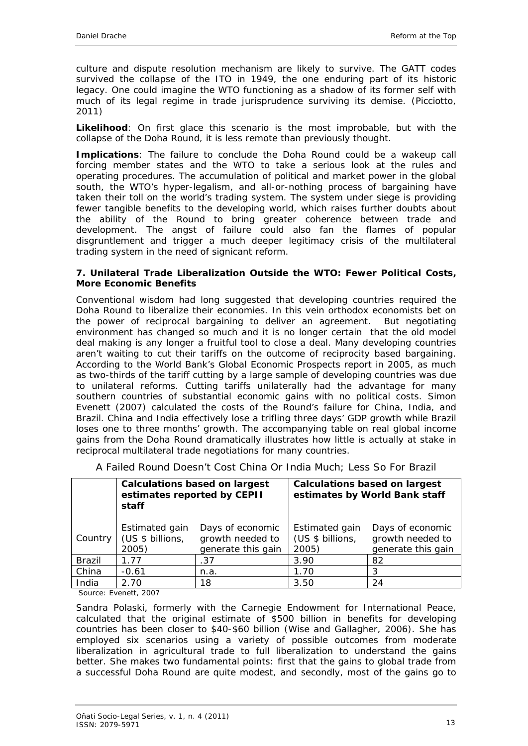culture and dispute resolution mechanism are likely to survive. The GATT codes survived the collapse of the ITO in 1949, the one enduring part of its historic legacy. One could imagine the WTO functioning as a shadow of its former self with much of its legal regime in trade jurisprudence surviving its demise. (Picciotto, 2011)

**Likelihood**: On first glace this scenario is the most improbable, but with the collapse of the Doha Round, it is less remote than previously thought.

**Implications**: The failure to conclude the Doha Round could be a wakeup call forcing member states and the WTO to take a serious look at the rules and operating procedures. The accumulation of political and market power in the global south, the WTO's hyper-legalism, and all-or-nothing process of bargaining have taken their toll on the world's trading system. The system under siege is providing fewer tangible benefits to the developing world, which raises further doubts about the ability of the Round to bring greater coherence between trade and development. The angst of failure could also fan the flames of popular disgruntlement and trigger a much deeper legitimacy crisis of the multilateral trading system in the need of signicant reform.

#### <span id="page-12-0"></span>**7. Unilateral Trade Liberalization Outside the WTO: Fewer Political Costs, More Economic Benefits**

Conventional wisdom had long suggested that developing countries required the Doha Round to liberalize their economies. In this vein orthodox economists bet on the power of reciprocal bargaining to deliver an agreement. But negotiating environment has changed so much and it is no longer certain that the old model deal making is any longer a fruitful tool to close a deal. Many developing countries aren't waiting to cut their tariffs on the outcome of reciprocity based bargaining. According to the World Bank's *Global Economic Prospects* report in 2005, as much as two-thirds of the tariff cutting by a large sample of developing countries was due to unilateral reforms. Cutting tariffs unilaterally had the advantage for many southern countries of substantial economic gains with no political costs. Simon Evenett (2007) calculated the costs of the Round's failure for China, India, and Brazil. China and India effectively lose a trifling three days' GDP growth while Brazil loses one to three months' growth. The accompanying table on real global income gains from the Doha Round dramatically illustrates how little is actually at stake in reciprocal multilateral trade negotiations for many countries.

|               | <b>Calculations based on largest</b><br>estimates reported by CEPII<br>staff |                                                            | <b>Calculations based on largest</b><br>estimates by World Bank staff |                                                            |
|---------------|------------------------------------------------------------------------------|------------------------------------------------------------|-----------------------------------------------------------------------|------------------------------------------------------------|
| Country       | Estimated gain<br>(US \$ billions,<br>2005)                                  | Days of economic<br>growth needed to<br>generate this gain | Estimated gain<br>(US \$ billions,<br>2005)                           | Days of economic<br>growth needed to<br>generate this gain |
| <b>Brazil</b> | 1.77                                                                         | .37                                                        | 3.90                                                                  | 82                                                         |
| China         | $-0.61$                                                                      | n.a.                                                       | 1.70                                                                  | 3                                                          |
| India         | 2.70                                                                         | 18                                                         | 3.50                                                                  | 24                                                         |

A Failed Round Doesn't Cost China Or India Much; Less So For Brazil

Source: Evenett, 2007

Sandra Polaski, formerly with the Carnegie Endowment for International Peace, calculated that the original estimate of \$500 billion in benefits for developing countries has been closer to \$40-\$60 billion (Wise and Gallagher, 2006). She has employed six scenarios using a variety of possible outcomes from moderate liberalization in agricultural trade to full liberalization to understand the gains better. She makes two fundamental points: first that the gains to global trade from a successful Doha Round are quite modest, and secondly, most of the gains go to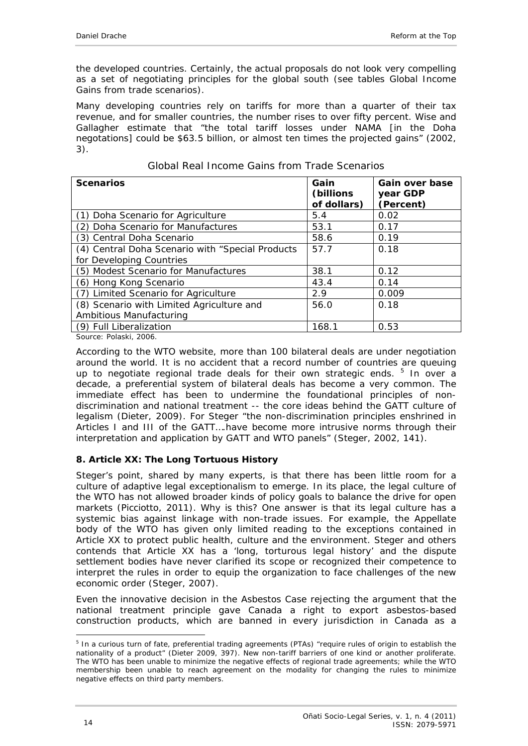the developed countries. Certainly, the actual proposals do not look very compelling as a set of negotiating principles for the global south (see tables Global Income Gains from trade scenarios).

Many developing countries rely on tariffs for more than a quarter of their tax revenue, and for smaller countries, the number rises to over fifty percent. Wise and Gallagher estimate that "the total tariff losses under NAMA [in the Doha negotations] could be \$63.5 billion, or almost ten times the projected gains" (2002, 3).

| <b>Scenarios</b>                                 | Gain<br>(billions)<br>of dollars) | Gain over base<br>year GDP<br>(Percent) |
|--------------------------------------------------|-----------------------------------|-----------------------------------------|
| (1) Doha Scenario for Agriculture                | 5.4                               | 0.02                                    |
| (2) Doha Scenario for Manufactures               | 53.1                              | 0.17                                    |
| (3) Central Doha Scenario                        | 58.6                              | 0.19                                    |
| (4) Central Doha Scenario with "Special Products | 57.7                              | 0.18                                    |
| for Developing Countries                         |                                   |                                         |
| (5) Modest Scenario for Manufactures             | 38.1                              | 0.12                                    |
| (6) Hong Kong Scenario                           | 43.4                              | 0.14                                    |
| (7) Limited Scenario for Agriculture             | 2.9                               | 0.009                                   |
| (8) Scenario with Limited Agriculture and        | 56.0                              | 0.18                                    |
| Ambitious Manufacturing                          |                                   |                                         |
| (9) Full Liberalization                          | 168.1                             | 0.53                                    |

#### Global Real Income Gains from Trade Scenarios

Source: Polaski, 2006.

According to the WTO website, more than 100 bilateral deals are under negotiation around the world. It is no accident that a record number of countries are queuing up to negotiate regional trade deals for their own strategic ends.  $5$  In over a decade, a preferential system of bilateral deals has become a very common. The immediate effect has been to undermine the foundational principles of nondiscrimination and national treatment -- the core ideas behind the GATT culture of legalism (Dieter, 2009). For Steger "the non-discrimination principles enshrined in Articles I and III of the GATT….have become more intrusive norms through their interpretation and application by GATT and WTO panels" (Steger, 2002, 141).

### <span id="page-13-0"></span>**8. Article XX: The Long Tortuous History**

Steger's point, shared by many experts, is that there has been little room for a culture of adaptive legal exceptionalism to emerge. In its place, the legal culture of the WTO has not allowed broader kinds of policy goals to balance the drive for open markets (Picciotto, 2011). Why is this? One answer is that its legal culture has a systemic bias against linkage with non-trade issues. For example, the Appellate body of the WTO has given only limited reading to the exceptions contained in Article XX to protect public health, culture and the environment. Steger and others contends that Article XX has a 'long, torturous legal history' and the dispute settlement bodies have never clarified its scope or recognized their competence to interpret the rules in order to equip the organization to face challenges of the new economic order (Steger, 2007).

Even the innovative decision in the *Asbestos Case* rejecting the argument that the national treatment principle gave Canada a right to export asbestos-based construction products, which are banned in every jurisdiction in Canada as a

<sup>&</sup>lt;u>.</u> <sup>5</sup> In a curious turn of fate, preferential trading agreements (PTAs) "require rules of origin to establish the nationality of a product" (Dieter 2009, 397). New non-tariff barriers of one kind or another proliferate. The WTO has been unable to minimize the negative effects of regional trade agreements; while the WTO membership been unable to reach agreement on the modality for changing the rules to minimize negative effects on third party members.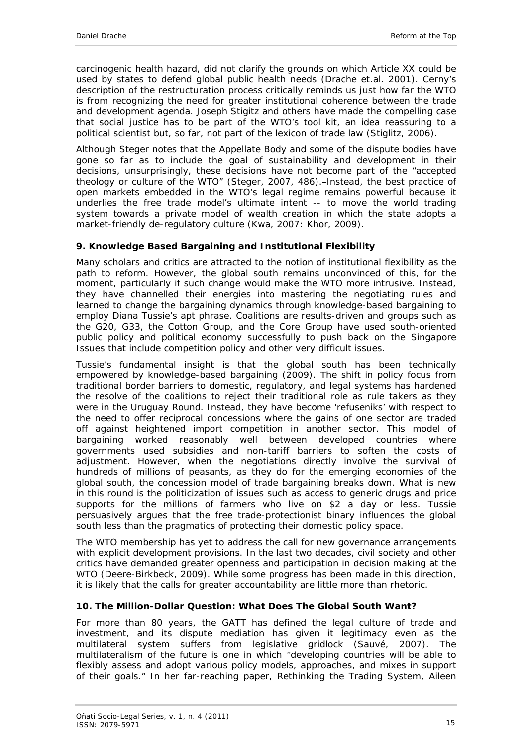carcinogenic health hazard, did not clarify the grounds on which Article XX could be used by states to defend global public health needs (Drache et.al. 2001). Cerny's description of the restructuration process critically reminds us just how far the WTO is from recognizing the need for greater institutional coherence between the trade and development agenda. Joseph Stigitz and others have made the compelling case that social justice has to be part of the WTO's tool kit, an idea reassuring to a political scientist but, so far, not part of the lexicon of trade law (Stiglitz, 2006).

Although Steger notes that the Appellate Body and some of the dispute bodies have gone so far as to include the goal of sustainability and development in their decisions, unsurprisingly, these decisions have not become part of the "accepted theology or culture of the WTO" (Steger, 2007, 486). Instead, the best practice of open markets embedded in the WTO's legal regime remains powerful because it underlies the free trade model's ultimate intent -- to move the world trading system towards a private model of wealth creation in which the state adopts a market-friendly de-regulatory culture (Kwa, 2007: Khor, 2009).

## <span id="page-14-0"></span>**9. Knowledge Based Bargaining and Institutional Flexibility**

Many scholars and critics are attracted to the notion of institutional flexibility as the path to reform. However, the global south remains unconvinced of this, for the moment, particularly if such change would make the WTO more intrusive. Instead, they have channelled their energies into mastering the negotiating rules and learned to change the bargaining dynamics through knowledge-based bargaining to employ Diana Tussie's apt phrase. Coalitions are results-driven and groups such as the G20, G33, the Cotton Group, and the Core Group have used south-oriented public policy and political economy successfully to push back on the Singapore Issues that include competition policy and other very difficult issues.

Tussie's fundamental insight is that the global south has been technically empowered by knowledge-based bargaining (2009). The shift in policy focus from traditional border barriers to domestic, regulatory, and legal systems has hardened the resolve of the coalitions to reject their traditional role as rule takers as they were in the Uruguay Round. Instead, they have become 'refuseniks' with respect to the need to offer reciprocal concessions where the gains of one sector are traded off against heightened import competition in another sector. This model of bargaining worked reasonably well between developed countries where governments used subsidies and non-tariff barriers to soften the costs of adjustment. However, when the negotiations directly involve the survival of hundreds of millions of peasants, as they do for the emerging economies of the global south, the concession model of trade bargaining breaks down. What is new in this round is the politicization of issues such as access to generic drugs and price supports for the millions of farmers who live on \$2 a day or less. Tussie persuasively argues that the free trade-protectionist binary influences the global south less than the pragmatics of protecting their domestic policy space.

The WTO membership has yet to address the call for new governance arrangements with explicit development provisions. In the last two decades, civil society and other critics have demanded greater openness and participation in decision making at the WTO (Deere-Birkbeck, 2009). While some progress has been made in this direction, it is likely that the calls for greater accountability are little more than rhetoric.

### <span id="page-14-1"></span>**10. The Million-Dollar Question: What Does The Global South Want?**

For more than 80 years, the GATT has defined the legal culture of trade and investment, and its dispute mediation has given it legitimacy even as the multilateral system suffers from legislative gridlock (Sauvé, 2007). The multilateralism of the future is one in which "developing countries will be able to flexibly assess and adopt various policy models, approaches, and mixes in support of their goals." In her far-reaching paper, Rethinking the Trading System, Aileen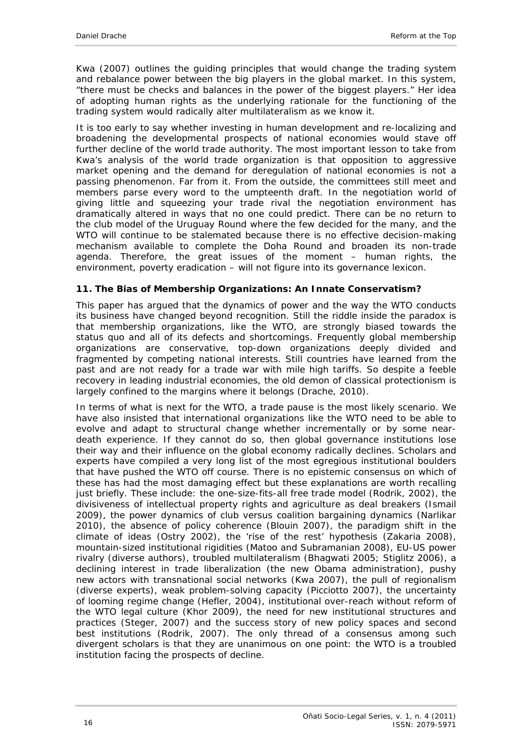Kwa (2007) outlines the guiding principles that would change the trading system and rebalance power between the big players in the global market. In this system, "there must be checks and balances in the power of the biggest players." Her idea of adopting human rights as the underlying rationale for the functioning of the trading system would radically alter multilateralism as we know it.

It is too early to say whether investing in human development and re-localizing and broadening the developmental prospects of national economies would stave off further decline of the world trade authority. The most important lesson to take from Kwa's analysis of the world trade organization is that opposition to aggressive market opening and the demand for deregulation of national economies is not a passing phenomenon. Far from it. From the outside, the committees still meet and members parse every word to the umpteenth draft. In the negotiation world of giving little and squeezing your trade rival the negotiation environment has dramatically altered in ways that no one could predict. There can be no return to the club model of the Uruguay Round where the few decided for the many, and the WTO will continue to be stalemated because there is no effective decision-making mechanism available to complete the Doha Round and broaden its non-trade agenda. Therefore, the great issues of the moment – human rights, the environment, poverty eradication – will not figure into its governance lexicon.

### <span id="page-15-0"></span>**11. The Bias of Membership Organizations: An Innate Conservatism?**

This paper has argued that the dynamics of power and the way the WTO conducts its business have changed beyond recognition. Still the riddle inside the paradox is that membership organizations, like the WTO, are strongly biased towards the status quo and all of its defects and shortcomings. Frequently global membership organizations are conservative, top-down organizations deeply divided and fragmented by competing national interests. Still countries have learned from the past and are not ready for a trade war with mile high tariffs. So despite a feeble recovery in leading industrial economies, the old demon of classical protectionism is largely confined to the margins where it belongs (Drache, 2010).

In terms of what is next for the WTO, a trade pause is the most likely scenario. We have also insisted that international organizations like the WTO need to be able to evolve and adapt to structural change whether incrementally or by some neardeath experience. If they cannot do so, then global governance institutions lose their way and their influence on the global economy radically declines. Scholars and experts have compiled a very long list of the most egregious institutional boulders that have pushed the WTO off course. There is no epistemic consensus on which of these has had the most damaging effect but these explanations are worth recalling just briefly. These include: the one-size-fits-all free trade model (Rodrik, 2002), the divisiveness of intellectual property rights and agriculture as deal breakers (Ismail 2009), the power dynamics of club versus coalition bargaining dynamics (Narlikar 2010), the absence of policy coherence (Blouin 2007), the paradigm shift in the climate of ideas (Ostry 2002), the 'rise of the rest' hypothesis (Zakaria 2008), mountain-sized institutional rigidities (Matoo and Subramanian 2008), EU-US power rivalry (diverse authors), troubled multilateralism (Bhagwati 2005; Stiglitz 2006), a declining interest in trade liberalization (the new Obama administration), pushy new actors with transnational social networks (Kwa 2007), the pull of regionalism (diverse experts), weak problem-solving capacity (Picciotto 2007), the uncertainty of looming regime change (Hefler, 2004), institutional over-reach without reform of the WTO legal culture (Khor 2009), the need for new institutional structures and practices (Steger, 2007) and the success story of new policy spaces and second best institutions (Rodrik, 2007). The only thread of a consensus among such divergent scholars is that they are unanimous on one point: the WTO is a troubled institution facing the prospects of decline.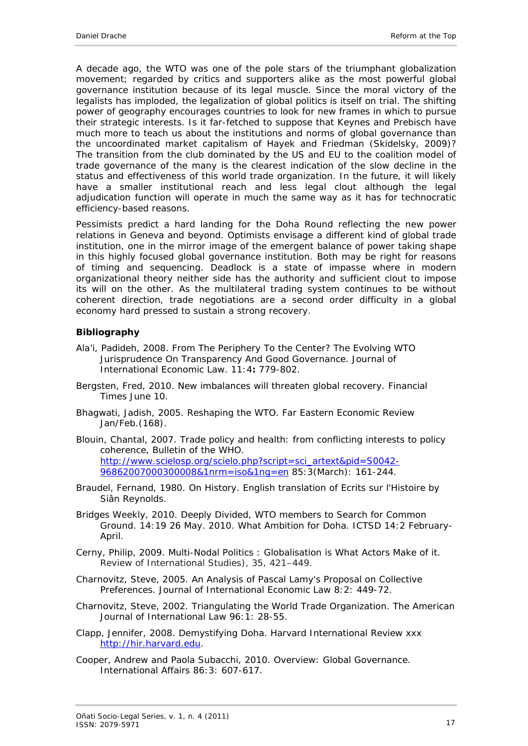A decade ago, the WTO was one of the pole stars of the triumphant globalization movement; regarded by critics and supporters alike as the most powerful global governance institution because of its legal muscle. Since the moral victory of the legalists has imploded, the legalization of global politics is itself on trial. The shifting power of geography encourages countries to look for new frames in which to pursue their strategic interests. Is it far-fetched to suppose that Keynes and Prebisch have much more to teach us about the institutions and norms of global governance than the uncoordinated market capitalism of Hayek and Friedman (Skidelsky, 2009)? The transition from the club dominated by the US and EU to the coalition model of trade governance of the many is the clearest indication of the slow decline in the status and effectiveness of this world trade organization. In the future, it will likely have a smaller institutional reach and less legal clout although the legal adjudication function will operate in much the same way as it has for technocratic efficiency-based reasons.

Pessimists predict a hard landing for the Doha Round reflecting the new power relations in Geneva and beyond. Optimists envisage a different kind of global trade institution, one in the mirror image of the emergent balance of power taking shape in this highly focused global governance institution. Both may be right for reasons of timing and sequencing. Deadlock is a state of impasse where in modern organizational theory neither side has the authority and sufficient clout to impose its will on the other. As the multilateral trading system continues to be without coherent direction, trade negotiations are a second order difficulty in a global economy hard pressed to sustain a strong recovery.

#### <span id="page-16-0"></span>**Bibliography**

- Ala'i, Padideh, 2008. From The Periphery To the Center? The Evolving WTO Jurisprudence On Transparency And Good Governance. *Journal of International Economic Law*. 11:4**:** 779-802.
- Bergsten, Fred, 2010. New imbalances will threaten global recovery. *Financial Times* June 10.
- Bhagwati, Jadish, 2005. Reshaping the WTO. *Far Eastern Economic Review* Jan/Feb.(168).
- Blouin, Chantal, 2007. Trade policy and health: from conflicting interests to policy coherence, Bulletin of the WHO. [http://www.scielosp.org/scielo.php?script=sci\\_artext&pid=S0042-](http://www.scielosp.org/scielo.php?script=sci_artext&pid=S0042-96862007000300008&1nrm=iso&1ng=en) [96862007000300008&1nrm=iso&1ng=en](http://www.scielosp.org/scielo.php?script=sci_artext&pid=S0042-96862007000300008&1nrm=iso&1ng=en) 85:3(March): 161-244.
- Braudel, Fernand, 1980. *On History*. English translation of *Ecrits sur l'Histoire* by Siân Reynolds.
- Bridges Weekly*,* 2010. Deeply Divided, WTO members to Search for Common Ground. 14:19 26 May. 2010. What Ambition for Doha. ICTSD 14:2 February-April.
- Cerny, Philip, 2009. Multi-Nodal Politics : Globalisation is What Actors Make of it. *Review of International Studies), 35, 421–449.*
- Charnovitz, Steve, 2005. An Analysis of Pascal Lamy's Proposal on Collective Preferences. *Journal of International Economic Law* 8:2: 449-72.
- Charnovitz, Steve, 2002. Triangulating the World Trade Organization. *The American Journal of International Law* 96:1: 28-55.
- Clapp, Jennifer, 2008. Demystifying Doha. *Harvard International Review* xxx [http://hir.harvard.edu](http://hir.harvard.edu/).
- Cooper, Andrew and Paola Subacchi, 2010. Overview: Global Governance. *International Affairs* 86:3: 607-617.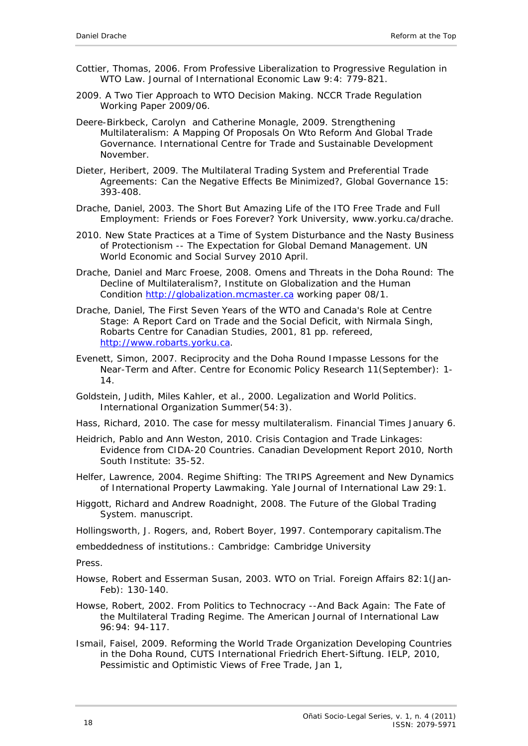- Cottier, Thomas, 2006. From Professive Liberalization to Progressive Regulation in WTO Law. *Journal of International Economic Law* 9:4: 779-821.
- 2009. A Two Tier Approach to WTO Decision Making. *NCCR Trade Regulation* Working Paper 2009/06.
- Deere-Birkbeck, Carolyn and Catherine Monagle, 2009. Strengthening Multilateralism: A Mapping Of Proposals On Wto Reform And Global Trade Governance. *International Centre for Trade and Sustainable Development* November.
- Dieter, Heribert, 2009. The Multilateral Trading System and Preferential Trade Agreements: Can the Negative Effects Be Minimized?, *Global Governance* 15: 393-408.
- Drache, Daniel, 2003. The Short But Amazing Life of the ITO Free Trade and Full Employment: Friends or Foes Forever? York University, www.yorku.ca/drache.
- 2010. New State Practices at a Time of System Disturbance and the Nasty Business of Protectionism -- The Expectation for Global Demand Management. *UN World Economic and Social Survey 2010* April.
- Drache, Daniel and Marc Froese, 2008. Omens and Threats in the Doha Round: The Decline of Multilateralism?, Institute on Globalization and the Human Condition [http://globalization.mcmaster.ca](http://globalization.mcmaster.ca/) working paper 08/1.
- Drache, Daniel, The First Seven Years of the WTO and Canada's Role at Centre Stage: A Report Card on Trade and the Social Deficit, with Nirmala Singh, Robarts Centre for Canadian Studies, 2001, 81 pp. refereed, [http://www.robarts.yorku.ca](http://www.robarts.yorku.ca/).
- Evenett, Simon, 2007. Reciprocity and the Doha Round Impasse Lessons for the Near-Term and After. Centre for Economic Policy Research 11(September): 1- 14.
- Goldstein, Judith, Miles Kahler, et al., 2000. Legalization and World Politics. *International Organization* Summer(54:3).
- Hass, Richard, 2010. The case for messy multilateralism. *Financial Times* January 6.
- Heidrich, Pablo and Ann Weston, 2010. Crisis Contagion and Trade Linkages: Evidence from CIDA-20 Countries. *Canadian Development Report 2010,* North South Institute: 35-52.
- Helfer, Lawrence, 2004. Regime Shifting: The TRIPS Agreement and New Dynamics of International Property Lawmaking. *Yale Journal of International Law* 29:1.
- Higgott, Richard and Andrew Roadnight, 2008. The Future of the Global Trading System. manuscript.

Hollingsworth, J. Rogers, and, Robert Boyer, 1997. *Contemporary capitalism.The*

*embeddedness of institutions.*: Cambridge: Cambridge University

Press.

Howse, Robert and Esserman Susan, 2003. WTO on Trial. *Foreign Affairs* 82:1(Jan-Feb): 130-140.

- Howse, Robert, 2002. From Politics to Technocracy --And Back Again: The Fate of the Multilateral Trading Regime. *The American Journal of International Law* 96:94: 94-117.
- Ismail, Faisel, 2009. *Reforming the World Trade Organization Developing Countries in the Doha Round*, CUTS International Friedrich Ehert-Siftung. IELP, 2010, Pessimistic and Optimistic Views of Free Trade, Jan 1,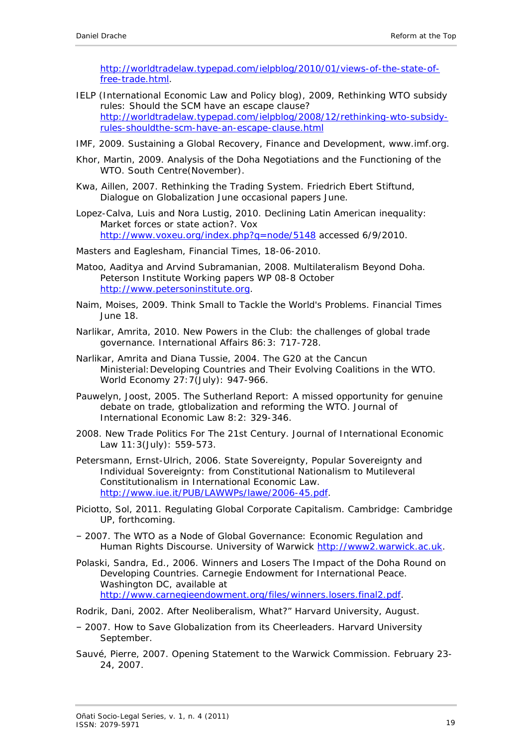[http://worldtradelaw.typepad.com/ielpblog/2010/01/views-of-the-state-of](http://worldtradelaw.typepad.com/ielpblog/2010/01/views-of-the-state-of-free-trade.html)[free-trade.html.](http://worldtradelaw.typepad.com/ielpblog/2010/01/views-of-the-state-of-free-trade.html)

- IELP (International Economic Law and Policy blog), 2009, Rethinking WTO subsidy rules: Should the SCM have an escape clause? [http://worldtradelaw.typepad.com/ielpblog/2008/12/rethinking-wto-subsidy](http://worldtradelaw.typepad.com/ielpblog/2008/12/rethinking-wto-subsidy-rules-shouldthe-scm-have-an-escape-clause.html)[rules-shouldthe-scm-have-an-escape-clause.html](http://worldtradelaw.typepad.com/ielpblog/2008/12/rethinking-wto-subsidy-rules-shouldthe-scm-have-an-escape-clause.html)
- IMF, 2009. *Sustaining a Global Recovery, Finance and Development, www.imf.org*.
- Khor, Martin, 2009. Analysis of the Doha Negotiations and the Functioning of the WTO. South Centre(November).
- Kwa, Aillen, 2007. Rethinking the Trading System. Friedrich Ebert Stiftund, Dialogue on Globalization June occasional papers June.
- Lopez-Calva, Luis and Nora Lustig, 2010. Declining Latin American inequality: Market forces or state action?. *Vox*  <http://www.voxeu.org/index.php?q=node/5148> accessed 6/9/2010.
- Masters and Eaglesham, *Financial Times*, 18-06-2010.
- Matoo, Aaditya and Arvind Subramanian, 2008. Multilateralism Beyond Doha. Peterson Institute Working papers WP 08-8 October [http://www.petersoninstitute.org.](http://www.petersoninstitute.org/)
- Naim, Moises, 2009. Think Small to Tackle the World's Problems. *Financial Times* June 18.
- Narlikar, Amrita, 2010. New Powers in the Club: the challenges of global trade governance. *International Affairs* 86:3: 717-728.
- Narlikar, Amrita and Diana Tussie, 2004. The G20 at the Cancun Ministerial:Developing Countries and Their Evolving Coalitions in the WTO. *World Economy* 27:7(July): 947-966.
- Pauwelyn, Joost, 2005. The Sutherland Report: A missed opportunity for genuine debate on trade, gtlobalization and reforming the WTO. *Journal of International Economic Law* 8:2: 329-346.
- 2008. New Trade Politics For The 21st Century. *Journal of International Economic Law* 11:3(July): 559-573.
- Petersmann, Ernst-Ulrich, 2006. State Sovereignty, Popular Sovereignty and Individual Sovereignty: from Constitutional Nationalism to Mutileveral Constitutionalism in International Economic Law. <http://www.iue.it/PUB/LAWWPs/lawe/2006-45.pdf>.
- Piciotto, Sol, 2011. *Regulating Global Corporate Capitalism*. Cambridge: Cambridge UP, forthcoming.
- ‒ 2007. The WTO as a Node of Global Governance: Economic Regulation and Human Rights Discourse. University of Warwic[k http://www2.warwick.ac.uk](http://www2.warwick.ac.uk/).
- Polaski, Sandra, Ed., 2006. *Winners and Losers The Impact of the Doha Round on Developing Countries*. Carnegie Endowment for International Peace. Washington DC, available at <http://www.carnegieendowment.org/files/winners.losers.final2.pdf>.
- Rodrik, Dani, 2002. After Neoliberalism, What?" Harvard University, August.
- ‒ 2007. How to Save Globalization from its Cheerleaders. Harvard University September.
- Sauvé, Pierre, 2007. Opening Statement to the Warwick Commission. February 23- 24, 2007.